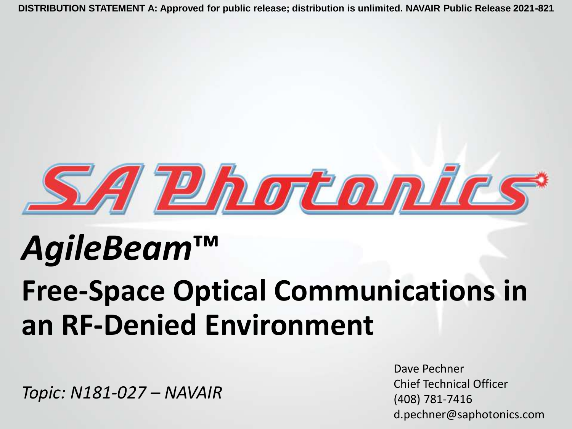

# *AgileBeam***™**

# **Free-Space Optical Communications in an RF-Denied Environment**

*Topic: N181-027 – NAVAIR*

Dave Pechner Chief Technical Officer (408) 781-7416 d.pechner@saphotonics.com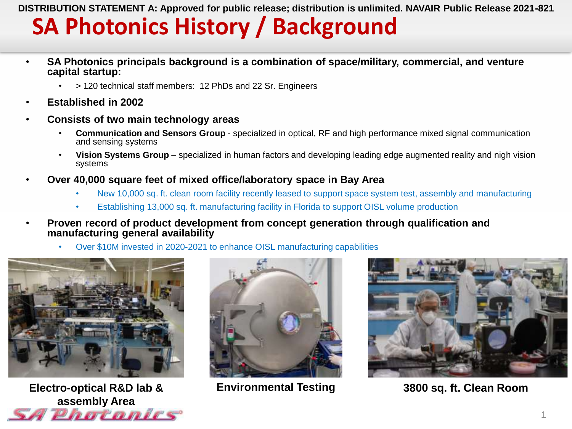### **SA Photonics History / Background**

- **SA Photonics principals background is a combination of space/military, commercial, and venture capital startup:**
	- > 120 technical staff members: 12 PhDs and 22 Sr. Engineers
- **Established in 2002**
- **Consists of two main technology areas**
	- **Communication and Sensors Group**  specialized in optical, RF and high performance mixed signal communication and sensing systems
	- **Vision Systems Group**  specialized in human factors and developing leading edge augmented reality and nigh vision systems
- **Over 40,000 square feet of mixed office/laboratory space in Bay Area**
	- New 10,000 sq. ft. clean room facility recently leased to support space system test, assembly and manufacturing
	- Establishing 13,000 sq. ft. manufacturing facility in Florida to support OISL volume production
- **Proven record of product development from concept generation through qualification and manufacturing general availability**
	- Over \$10M invested in 2020-2021 to enhance OISL manufacturing capabilities



**Electro-optical R&D lab & assembly Area** *PERIMENTE* 





**Environmental Testing 3800 sq. ft. Clean Room**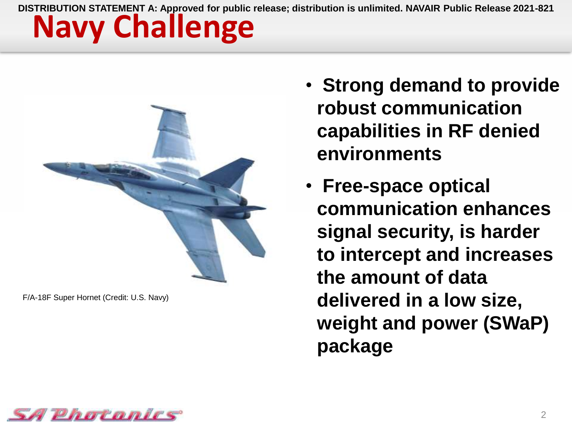

F/A-18F Super Hornet (Credit: U.S. Navy)

- **Strong demand to provide robust communication capabilities in RF denied environments**
- **Free-space optical communication enhances signal security, is harder to intercept and increases the amount of data delivered in a low size, weight and power (SWaP) package**

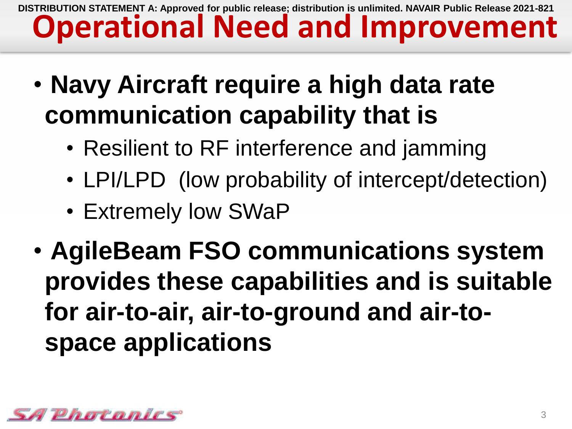### **Operational Need and Improvement DISTRIBUTION STATEMENT A: Approved for public release; distribution is unlimited. NAVAIR Public Release 2021-821**

- **Navy Aircraft require a high data rate communication capability that is**
	- Resilient to RF interference and jamming
	- LPI/LPD (low probability of intercept/detection)
	- Extremely low SWaP
- **AgileBeam FSO communications system provides these capabilities and is suitable for air-to-air, air-to-ground and air-tospace applications**

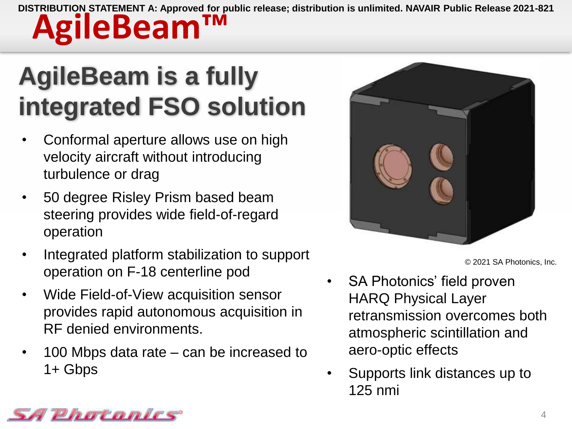## **AgileBeam is a fully integrated FSO solution**

- Conformal aperture allows use on high velocity aircraft without introducing turbulence or drag
- 50 degree Risley Prism based beam steering provides wide field-of-regard operation
- Integrated platform stabilization to support operation on F-18 centerline pod
- Wide Field-of-View acquisition sensor provides rapid autonomous acquisition in RF denied environments.
- 100 Mbps data rate can be increased to 1+ Gbps



© 2021 SA Photonics, Inc.

- SA Photonics' field proven HARQ Physical Layer retransmission overcomes both atmospheric scintillation and aero-optic effects
- Supports link distances up to 125 nmi

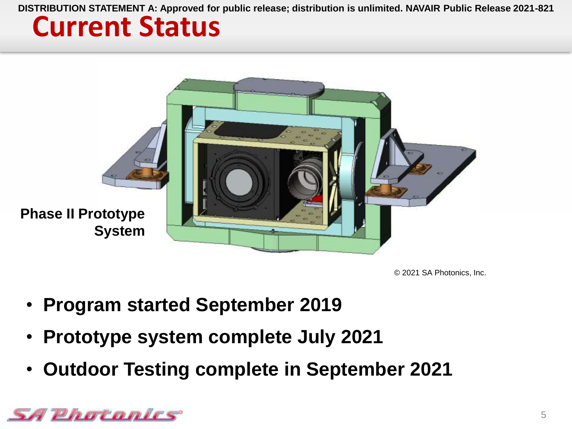### **Current Status**



© 2021 SA Photonics, Inc.

- **Program started September 2019**
- **Prototype system complete July 2021**
- **Outdoor Testing complete in September 2021**

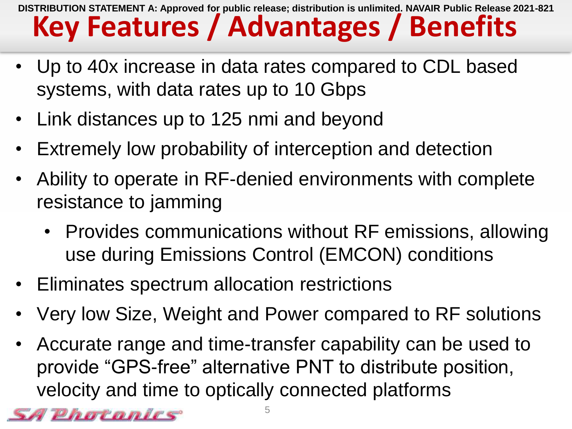### **Key Features / Advantages / Benefits DISTRIBUTION STATEMENT A: Approved for public release; distribution is unlimited. NAVAIR Public Release 2021-821**

- Up to 40x increase in data rates compared to CDL based systems, with data rates up to 10 Gbps
- Link distances up to 125 nmi and beyond
- Extremely low probability of interception and detection
- Ability to operate in RF-denied environments with complete resistance to jamming
	- Provides communications without RF emissions, allowing use during Emissions Control (EMCON) conditions
- Eliminates spectrum allocation restrictions
- Very low Size, Weight and Power compared to RF solutions
- Accurate range and time-transfer capability can be used to provide "GPS-free" alternative PNT to distribute position, velocity and time to optically connected platforms

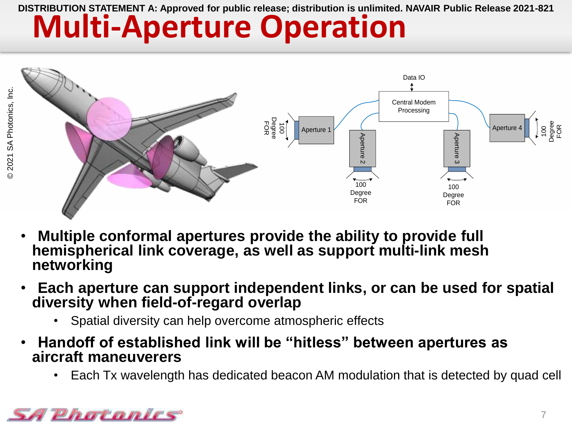# **Multi-Aperture Operation**



- **Multiple conformal apertures provide the ability to provide full hemispherical link coverage, as well as support multi-link mesh networking**
- **Each aperture can support independent links, or can be used for spatial diversity when field-of-regard overlap**
	- Spatial diversity can help overcome atmospheric effects
- **Handoff of established link will be "hitless" between apertures as aircraft maneuverers** 
	- Each Tx wavelength has dedicated beacon AM modulation that is detected by quad cell

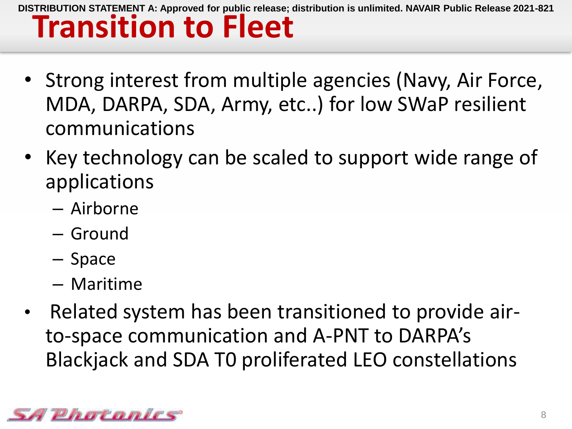- Strong interest from multiple agencies (Navy, Air Force, MDA, DARPA, SDA, Army, etc..) for low SWaP resilient communications
- Key technology can be scaled to support wide range of applications
	- Airborne
	- Ground
	- Space
	- Maritime
- Related system has been transitioned to provide airto-space communication and A-PNT to DARPA's Blackjack and SDA T0 proliferated LEO constellations

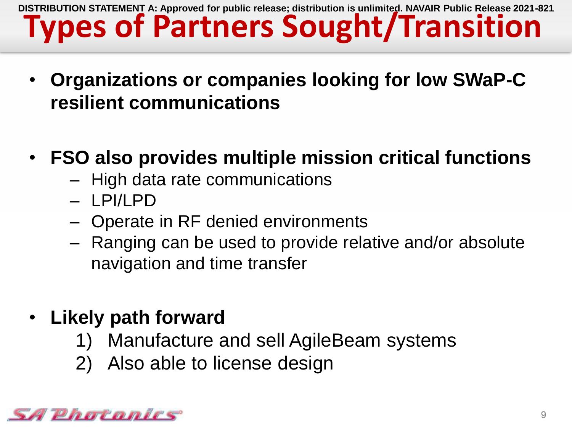### **Types of Partners Sought/Transition DISTRIBUTION STATEMENT A: Approved for public release; distribution is unlimited. NAVAIR Public Release 2021-821**

- **Organizations or companies looking for low SWaP-C resilient communications**
- **FSO also provides multiple mission critical functions**
	- High data rate communications
	- LPI/LPD
	- Operate in RF denied environments
	- Ranging can be used to provide relative and/or absolute navigation and time transfer
- **Likely path forward**
	- 1) Manufacture and sell AgileBeam systems
	- 2) Also able to license design